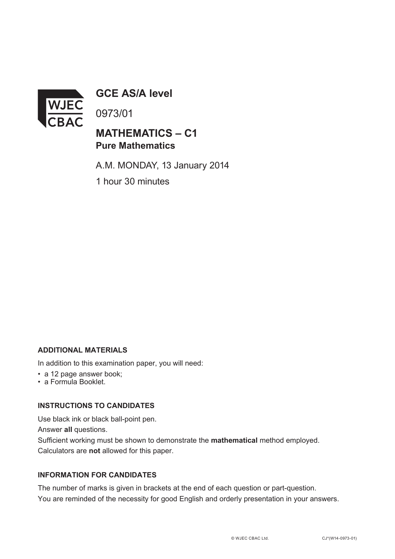

**GCE AS/A level**

0973/01

## **MATHEMATICS – C1 Pure Mathematics**

A.M. MONDAY, 13 January 2014 1 hour 30 minutes

#### **ADDITIONAL MATERIALS**

In addition to this examination paper, you will need:

- a 12 page answer book;
- a Formula Booklet.

### **INSTRUCTIONS TO CANDIDATES**

Use black ink or black ball-point pen.

Answer **all** questions.

Sufficient working must be shown to demonstrate the **mathematical** method employed. Calculators are **not** allowed for this paper.

#### **INFORMATION FOR CANDIDATES**

The number of marks is given in brackets at the end of each question or part-question. You are reminded of the necessity for good English and orderly presentation in your answers.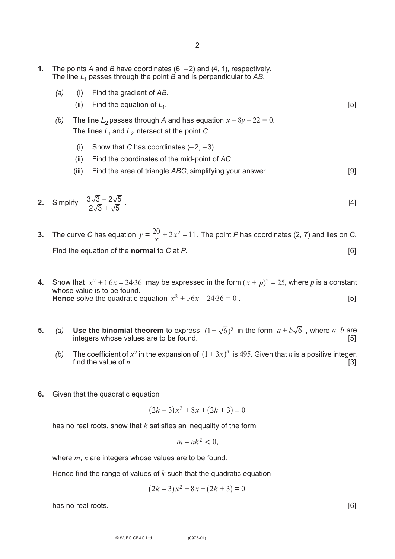- **1.** The points *A* and *B* have coordinates (6, –2) and (4, 1), respectively. The line *L*<sup>1</sup> passes through the point *B* and is perpendicular to *AB*.
	- *(a)* (i) Find the gradient of *AB*.
		- (ii) Find the equation of  $L_1$ .  $[5]$
	- *(b)* The line  $L_2$  passes through *A* and has equation  $x 8y 22 = 0$ . The lines  $L_1$  and  $L_2$  intersect at the point *C*.
		- (i) Show that *C* has coordinates  $(-2, -3)$ .
		- (ii) Find the coordinates of the mid-point of *AC*.
		- (iii) Find the area of triangle *ABC*, simplifying your answer. [9]

2. Simplify 
$$
\frac{3\sqrt{3} - 2\sqrt{5}}{2\sqrt{3} + \sqrt{5}}
$$
. [4]

- **3.** The curve *C* has equation  $y = \frac{20}{x} + 2x^2 11$ . The point *P* has coordinates (2, 7) and lies on *C*. Find the equation of the **normal** to *C* at *P*. [6]
- **4.** Show that  $x^2 + 1.6x 24.36$  may be expressed in the form  $(x + p)^2 25$ , where p is a constant whose value is to be found. **Hence** solve the quadratic equation  $x^2 + 1.6x - 24.36 = 0$ . [5]  $x^2 + 1.6x - 24.36$  may be expressed in the form  $(x + p)^2 - 25$
- **5.** (a) Use the binomial theorem to express  $(1 + \sqrt{6})^5$  in the form  $a + b\sqrt{6}$ , where a, b are integers whose values are to be found.
	- *(b)* The coefficient of  $x^2$  in the expansion of  $(1 + 3x)^n$  is 495. Given that *n* is a positive integer, find the value of  $n$ . [3]
- **6.** Given that the quadratic equation

$$
(2k-3)x^2 + 8x + (2k+3) = 0
$$

has no real roots, show that *k* satisfies an inequality of the form

$$
m - nk^2 < 0
$$

where *m*, *n* are integers whose values are to be found.

Hence find the range of values of *k* such that the quadratic equation

$$
(2k-3)x^2 + 8x + (2k+3) = 0
$$

has no real roots. [6]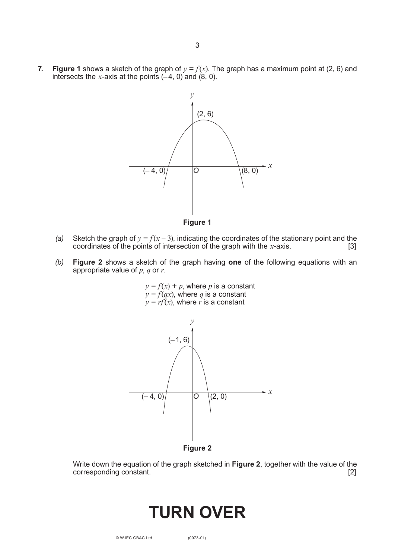**7. Figure 1** shows a sketch of the graph of  $y = f(x)$ . The graph has a maximum point at (2, 6) and intersects the *x*-axis at the points  $(-4, 0)$  and  $(8, 0)$ .

3



**Figure 1**

- *(a)* Sketch the graph of  $y = f(x 3)$ , indicating the coordinates of the stationary point and the coordinates of the points of intersection of the graph with the *x*-axis. [3] coordinates of the points of intersection of the graph with the *-axis.*
- *(b)* **Figure 2** shows a sketch of the graph having **one** of the following equations with an appropriate value of *p*, *q* or *r*.

 $y = f(x) + p$ , where *p* is a constant  $y = f(qx)$ , where q is a constant  $y = r f(x)$ , where *r* is a constant



**Figure 2**

Write down the equation of the graph sketched in **Figure 2**, together with the value of the corresponding constant. [2]

# **Turn over**